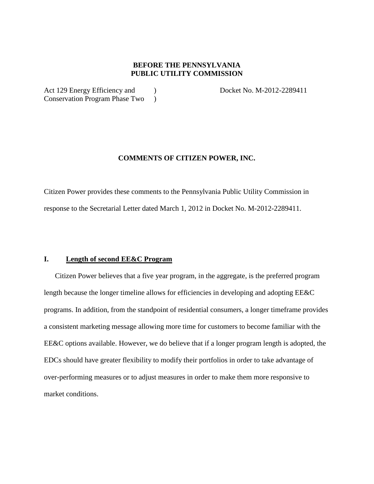# **BEFORE THE PENNSYLVANIA PUBLIC UTILITY COMMISSION**

Act 129 Energy Efficiency and ) Docket No. M-2012-2289411 Conservation Program Phase Two )

## **COMMENTS OF CITIZEN POWER, INC.**

Citizen Power provides these comments to the Pennsylvania Public Utility Commission in response to the Secretarial Letter dated March 1, 2012 in Docket No. M-2012-2289411.

## **I. Length of second EE&C Program**

Citizen Power believes that a five year program, in the aggregate, is the preferred program length because the longer timeline allows for efficiencies in developing and adopting EE&C programs. In addition, from the standpoint of residential consumers, a longer timeframe provides a consistent marketing message allowing more time for customers to become familiar with the EE&C options available. However, we do believe that if a longer program length is adopted, the EDCs should have greater flexibility to modify their portfolios in order to take advantage of over-performing measures or to adjust measures in order to make them more responsive to market conditions.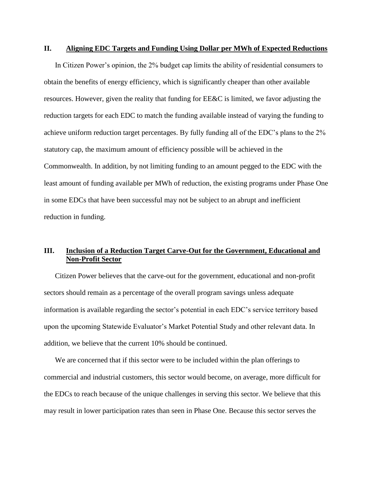#### **II. Aligning EDC Targets and Funding Using Dollar per MWh of Expected Reductions**

In Citizen Power's opinion, the 2% budget cap limits the ability of residential consumers to obtain the benefits of energy efficiency, which is significantly cheaper than other available resources. However, given the reality that funding for EE&C is limited, we favor adjusting the reduction targets for each EDC to match the funding available instead of varying the funding to achieve uniform reduction target percentages. By fully funding all of the EDC's plans to the 2% statutory cap, the maximum amount of efficiency possible will be achieved in the Commonwealth. In addition, by not limiting funding to an amount pegged to the EDC with the least amount of funding available per MWh of reduction, the existing programs under Phase One in some EDCs that have been successful may not be subject to an abrupt and inefficient reduction in funding.

# **III. Inclusion of a Reduction Target Carve-Out for the Government, Educational and Non-Profit Sector**

Citizen Power believes that the carve-out for the government, educational and non-profit sectors should remain as a percentage of the overall program savings unless adequate information is available regarding the sector's potential in each EDC's service territory based upon the upcoming Statewide Evaluator's Market Potential Study and other relevant data. In addition, we believe that the current 10% should be continued.

We are concerned that if this sector were to be included within the plan offerings to commercial and industrial customers, this sector would become, on average, more difficult for the EDCs to reach because of the unique challenges in serving this sector. We believe that this may result in lower participation rates than seen in Phase One. Because this sector serves the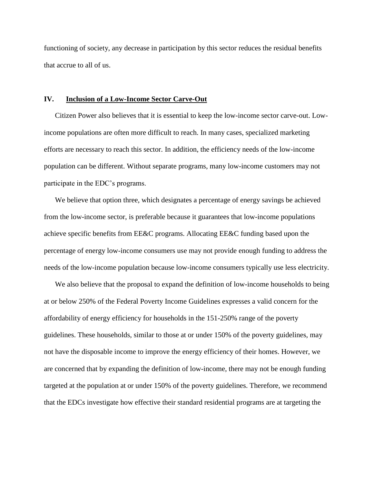functioning of society, any decrease in participation by this sector reduces the residual benefits that accrue to all of us.

#### **IV. Inclusion of a Low-Income Sector Carve-Out**

Citizen Power also believes that it is essential to keep the low-income sector carve-out. Lowincome populations are often more difficult to reach. In many cases, specialized marketing efforts are necessary to reach this sector. In addition, the efficiency needs of the low-income population can be different. Without separate programs, many low-income customers may not participate in the EDC's programs.

We believe that option three, which designates a percentage of energy savings be achieved from the low-income sector, is preferable because it guarantees that low-income populations achieve specific benefits from EE&C programs. Allocating EE&C funding based upon the percentage of energy low-income consumers use may not provide enough funding to address the needs of the low-income population because low-income consumers typically use less electricity.

We also believe that the proposal to expand the definition of low-income households to being at or below 250% of the Federal Poverty Income Guidelines expresses a valid concern for the affordability of energy efficiency for households in the 151-250% range of the poverty guidelines. These households, similar to those at or under 150% of the poverty guidelines, may not have the disposable income to improve the energy efficiency of their homes. However, we are concerned that by expanding the definition of low-income, there may not be enough funding targeted at the population at or under 150% of the poverty guidelines. Therefore, we recommend that the EDCs investigate how effective their standard residential programs are at targeting the